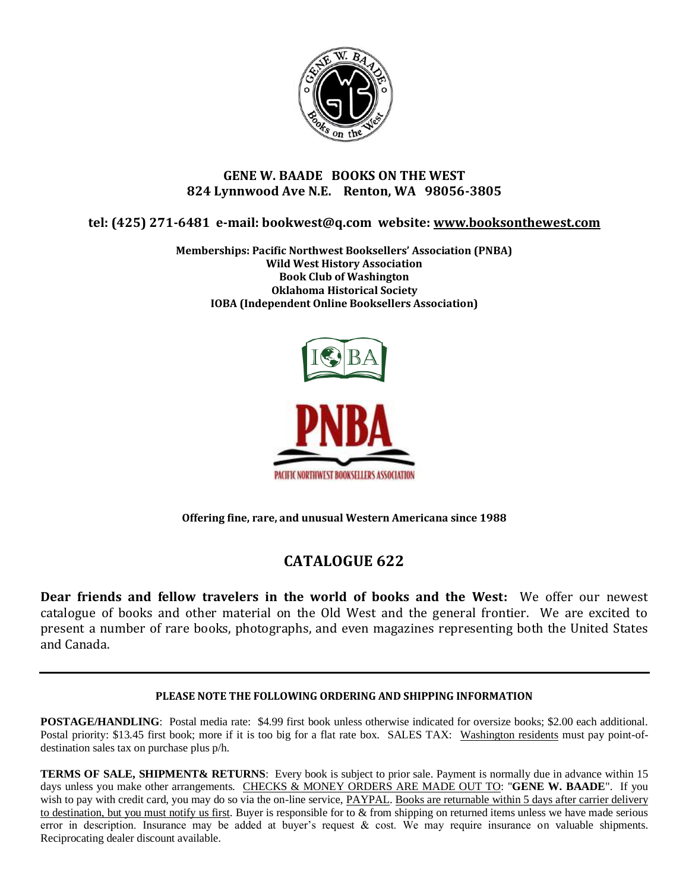

## **GENE W. BAADE BOOKS ON THE WEST 824 Lynnwood Ave N.E. Renton, WA 98056-3805**

**tel: (425) 271-6481 e-mail: bookwest@q.com website: [www.booksonthewest.com](http://www.booksonthewest.com/)**

**Memberships: Pacific Northwest Booksellers' Association (PNBA) Wild West History Association Book Club of Washington Oklahoma Historical Society IOBA (Independent Online Booksellers Association)**



**Offering fine, rare, and unusual Western Americana since 1988**

## **CATALOGUE 622**

**Dear friends and fellow travelers in the world of books and the West:** We offer our newest catalogue of books and other material on the Old West and the general frontier. We are excited to present a number of rare books, photographs, and even magazines representing both the United States and Canada.

## **PLEASE NOTE THE FOLLOWING ORDERING AND SHIPPING INFORMATION**

**POSTAGE/HANDLING**: Postal media rate: \$4.99 first book unless otherwise indicated for oversize books; \$2.00 each additional. Postal priority: \$13.45 first book; more if it is too big for a flat rate box. SALES TAX: Washington residents must pay point-ofdestination sales tax on purchase plus p/h.

**TERMS OF SALE, SHIPMENT& RETURNS:** Every book is subject to prior sale. Payment is normally due in advance within 15 days unless you make other arrangements. CHECKS & MONEY ORDERS ARE MADE OUT TO: "**GENE W. BAADE**". If you wish to pay with credit card, you may do so via the on-line service, PAYPAL. Books are returnable within 5 days after carrier delivery to destination, but you must notify us first. Buyer is responsible for to & from shipping on returned items unless we have made serious error in description. Insurance may be added at buyer's request & cost. We may require insurance on valuable shipments. Reciprocating dealer discount available.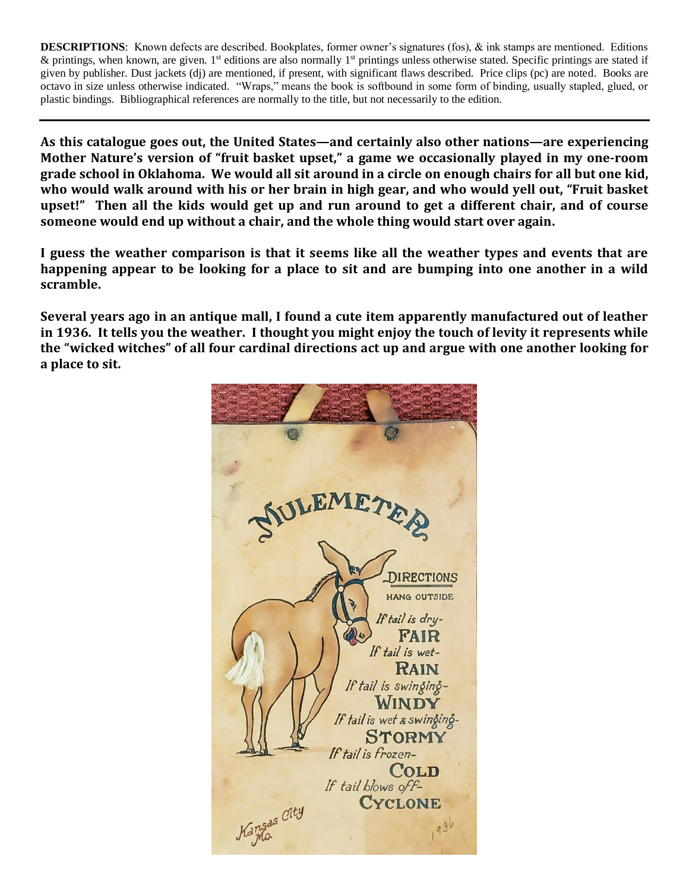**DESCRIPTIONS**: Known defects are described. Bookplates, former owner's signatures (fos), & ink stamps are mentioned. Editions & printings, when known, are given. 1st editions are also normally  $1<sup>st</sup>$  printings unless otherwise stated. Specific printings are stated if given by publisher. Dust jackets (dj) are mentioned, if present, with significant flaws described. Price clips (pc) are noted. Books are octavo in size unless otherwise indicated. "Wraps," means the book is softbound in some form of binding, usually stapled, glued, or plastic bindings. Bibliographical references are normally to the title, but not necessarily to the edition.

**As this catalogue goes out, the United States—and certainly also other nations—are experiencing Mother Nature's version of "fruit basket upset," a game we occasionally played in my one-room grade school in Oklahoma. We would all sit around in a circle on enough chairs for all but one kid, who would walk around with his or her brain in high gear, and who would yell out, "Fruit basket upset!" Then all the kids would get up and run around to get a different chair, and of course someone would end up without a chair, and the whole thing would start over again.** 

**I guess the weather comparison is that it seems like all the weather types and events that are happening appear to be looking for a place to sit and are bumping into one another in a wild scramble.**

**Several years ago in an antique mall, I found a cute item apparently manufactured out of leather in 1936. It tells you the weather. I thought you might enjoy the touch of levity it represents while the "wicked witches" of all four cardinal directions act up and argue with one another looking for a place to sit.**

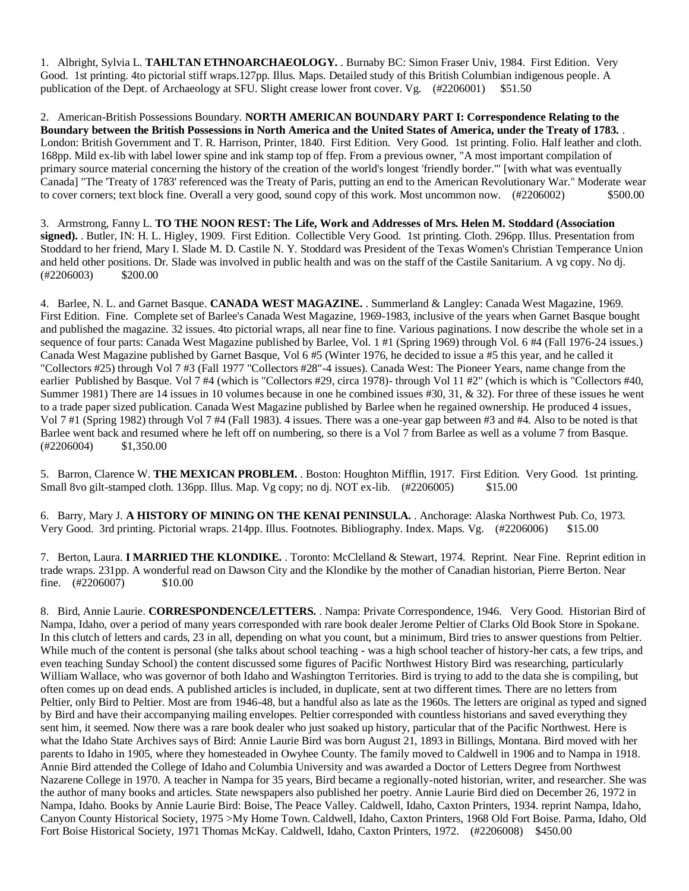1. Albright, Sylvia L. **TAHLTAN ETHNOARCHAEOLOGY.** . Burnaby BC: Simon Fraser Univ, 1984. First Edition. Very Good. 1st printing. 4to pictorial stiff wraps.127pp. Illus. Maps. Detailed study of this British Columbian indigenous people. A publication of the Dept. of Archaeology at SFU. Slight crease lower front cover. Vg. (#2206001) \$51.50

2. American-British Possessions Boundary. **NORTH AMERICAN BOUNDARY PART I: Correspondence Relating to the Boundary between the British Possessions in North America and the United States of America, under the Treaty of 1783.** . London: British Government and T. R. Harrison, Printer, 1840. First Edition. Very Good. 1st printing. Folio. Half leather and cloth. 168pp. Mild ex-lib with label lower spine and ink stamp top of ffep. From a previous owner, "A most important compilation of primary source material concerning the history of the creation of the world's longest 'friendly border.'" [with what was eventually Canada] "The 'Treaty of 1783' referenced was the Treaty of Paris, putting an end to the American Revolutionary War." Moderate wear to cover corners; text block fine. Overall a very good, sound copy of this work. Most uncommon now. (#2206002) \$500.00

3. Armstrong, Fanny L. **TO THE NOON REST: The Life, Work and Addresses of Mrs. Helen M. Stoddard (Association**  signed). Butler, IN: H. L. Higley, 1909. First Edition. Collectible Very Good. 1st printing. Cloth. 296pp. Illus. Presentation from Stoddard to her friend, Mary I. Slade M. D. Castile N. Y. Stoddard was President of the Texas Women's Christian Temperance Union and held other positions. Dr. Slade was involved in public health and was on the staff of the Castile Sanitarium. A vg copy. No dj.  $(\#2206003)$  \$200.00

4. Barlee, N. L. and Garnet Basque. **CANADA WEST MAGAZINE.** . Summerland & Langley: Canada West Magazine, 1969. First Edition. Fine. Complete set of Barlee's Canada West Magazine, 1969-1983, inclusive of the years when Garnet Basque bought and published the magazine. 32 issues. 4to pictorial wraps, all near fine to fine. Various paginations. I now describe the whole set in a sequence of four parts: Canada West Magazine published by Barlee, Vol. 1 #1 (Spring 1969) through Vol. 6 #4 (Fall 1976-24 issues.) Canada West Magazine published by Garnet Basque, Vol 6 #5 (Winter 1976, he decided to issue a #5 this year, and he called it "Collectors #25) through Vol 7 #3 (Fall 1977 "Collectors #28"-4 issues). Canada West: The Pioneer Years, name change from the earlier Published by Basque. Vol 7 #4 (which is "Collectors #29, circa 1978)- through Vol 11 #2" (which is which is "Collectors #40, Summer 1981) There are 14 issues in 10 volumes because in one he combined issues #30, 31, & 32). For three of these issues he went to a trade paper sized publication. Canada West Magazine published by Barlee when he regained ownership. He produced 4 issues, Vol 7 #1 (Spring 1982) through Vol 7 #4 (Fall 1983). 4 issues. There was a one-year gap between #3 and #4. Also to be noted is that Barlee went back and resumed where he left off on numbering, so there is a Vol 7 from Barlee as well as a volume 7 from Basque. (#2206004) \$1,350.00

5. Barron, Clarence W. **THE MEXICAN PROBLEM.** . Boston: Houghton Mifflin, 1917. First Edition. Very Good. 1st printing. Small 8vo gilt-stamped cloth. 136pp. Illus. Map. Vg copy; no dj. NOT ex-lib. (#2206005) \$15.00

6. Barry, Mary J. **A HISTORY OF MINING ON THE KENAI PENINSULA.** . Anchorage: Alaska Northwest Pub. Co, 1973. Very Good. 3rd printing. Pictorial wraps. 214pp. Illus. Footnotes. Bibliography. Index. Maps. Vg. (#2206006) \$15.00

7. Berton, Laura. **I MARRIED THE KLONDIKE.** . Toronto: McClelland & Stewart, 1974. Reprint. Near Fine. Reprint edition in trade wraps. 231pp. A wonderful read on Dawson City and the Klondike by the mother of Canadian historian, Pierre Berton. Near fine. (#2206007) \$10.00

8. Bird, Annie Laurie. **CORRESPONDENCE/LETTERS.** . Nampa: Private Correspondence, 1946. Very Good. Historian Bird of Nampa, Idaho, over a period of many years corresponded with rare book dealer Jerome Peltier of Clarks Old Book Store in Spokane. In this clutch of letters and cards, 23 in all, depending on what you count, but a minimum, Bird tries to answer questions from Peltier. While much of the content is personal (she talks about school teaching - was a high school teacher of history-her cats, a few trips, and even teaching Sunday School) the content discussed some figures of Pacific Northwest History Bird was researching, particularly William Wallace, who was governor of both Idaho and Washington Territories. Bird is trying to add to the data she is compiling, but often comes up on dead ends. A published articles is included, in duplicate, sent at two different times. There are no letters from Peltier, only Bird to Peltier. Most are from 1946-48, but a handful also as late as the 1960s. The letters are original as typed and signed by Bird and have their accompanying mailing envelopes. Peltier corresponded with countless historians and saved everything they sent him, it seemed. Now there was a rare book dealer who just soaked up history, particular that of the Pacific Northwest. Here is what the Idaho State Archives says of Bird: Annie Laurie Bird was born August 21, 1893 in Billings, Montana. Bird moved with her parents to Idaho in 1905, where they homesteaded in Owyhee County. The family moved to Caldwell in 1906 and to Nampa in 1918. Annie Bird attended the College of Idaho and Columbia University and was awarded a Doctor of Letters Degree from Northwest Nazarene College in 1970. A teacher in Nampa for 35 years, Bird became a regionally-noted historian, writer, and researcher. She was the author of many books and articles. State newspapers also published her poetry. Annie Laurie Bird died on December 26, 1972 in Nampa, Idaho. Books by Annie Laurie Bird: Boise, The Peace Valley. Caldwell, Idaho, Caxton Printers, 1934. reprint Nampa, Idaho, Canyon County Historical Society, 1975 >My Home Town. Caldwell, Idaho, Caxton Printers, 1968 Old Fort Boise. Parma, Idaho, Old Fort Boise Historical Society, 1971 Thomas McKay. Caldwell, Idaho, Caxton Printers, 1972. (#2206008) \$450.00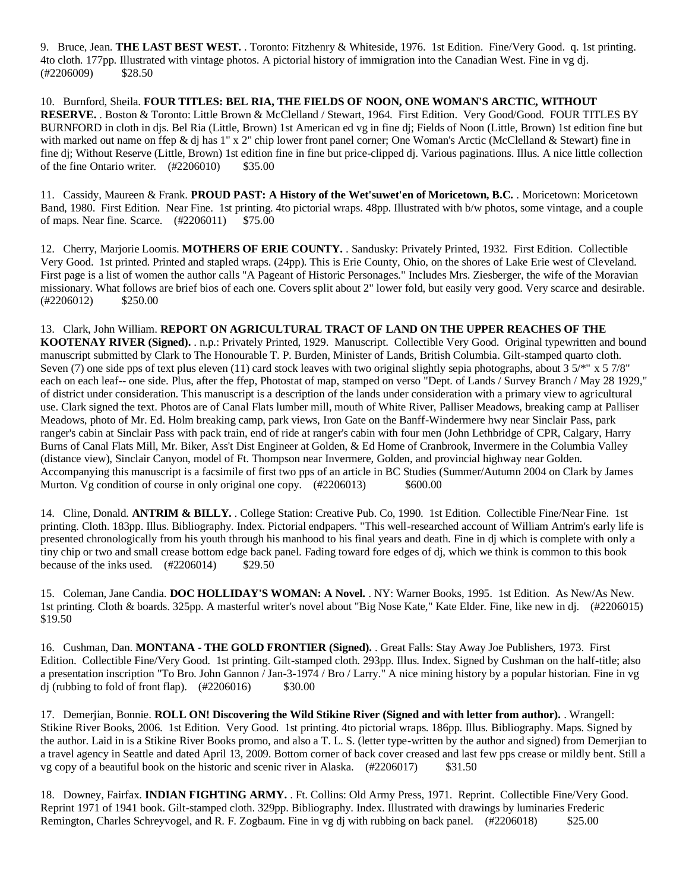9. Bruce, Jean. **THE LAST BEST WEST.** . Toronto: Fitzhenry & Whiteside, 1976. 1st Edition. Fine/Very Good. q. 1st printing. 4to cloth. 177pp. Illustrated with vintage photos. A pictorial history of immigration into the Canadian West. Fine in vg dj. (#2206009) \$28.50

10. Burnford, Sheila. **FOUR TITLES: BEL RIA, THE FIELDS OF NOON, ONE WOMAN'S ARCTIC, WITHOUT RESERVE.** . Boston & Toronto: Little Brown & McClelland / Stewart, 1964. First Edition. Very Good/Good. FOUR TITLES BY BURNFORD in cloth in djs. Bel Ria (Little, Brown) 1st American ed vg in fine dj; Fields of Noon (Little, Brown) 1st edition fine but with marked out name on ffep & dj has 1" x 2" chip lower front panel corner; One Woman's Arctic (McClelland & Stewart) fine in fine dj; Without Reserve (Little, Brown) 1st edition fine in fine but price-clipped dj. Various paginations. Illus. A nice little collection of the fine Ontario writer.  $(\text{#2206010})$  \$35.00

11. Cassidy, Maureen & Frank. **PROUD PAST: A History of the Wet'suwet'en of Moricetown, B.C.** . Moricetown: Moricetown Band, 1980. First Edition. Near Fine. 1st printing. 4to pictorial wraps. 48pp. Illustrated with b/w photos, some vintage, and a couple of maps. Near fine. Scarce. (#2206011) \$75.00

12. Cherry, Marjorie Loomis. **MOTHERS OF ERIE COUNTY.** . Sandusky: Privately Printed, 1932. First Edition. Collectible Very Good. 1st printed. Printed and stapled wraps. (24pp). This is Erie County, Ohio, on the shores of Lake Erie west of Cleveland. First page is a list of women the author calls "A Pageant of Historic Personages." Includes Mrs. Ziesberger, the wife of the Moravian missionary. What follows are brief bios of each one. Covers split about 2" lower fold, but easily very good. Very scarce and desirable. (#2206012) \$250.00

13. Clark, John William. **REPORT ON AGRICULTURAL TRACT OF LAND ON THE UPPER REACHES OF THE KOOTENAY RIVER (Signed).** . n.p.: Privately Printed, 1929. Manuscript. Collectible Very Good. Original typewritten and bound manuscript submitted by Clark to The Honourable T. P. Burden, Minister of Lands, British Columbia. Gilt-stamped quarto cloth. Seven (7) one side pps of text plus eleven (11) card stock leaves with two original slightly sepia photographs, about  $3.5\frac{m}{8}$  x  $5.7\frac{m}{8}$ each on each leaf-- one side. Plus, after the ffep, Photostat of map, stamped on verso "Dept. of Lands / Survey Branch / May 28 1929," of district under consideration. This manuscript is a description of the lands under consideration with a primary view to agricultural use. Clark signed the text. Photos are of Canal Flats lumber mill, mouth of White River, Palliser Meadows, breaking camp at Palliser Meadows, photo of Mr. Ed. Holm breaking camp, park views, Iron Gate on the Banff-Windermere hwy near Sinclair Pass, park ranger's cabin at Sinclair Pass with pack train, end of ride at ranger's cabin with four men (John Lethbridge of CPR, Calgary, Harry Burns of Canal Flats Mill, Mr. Biker, Ass't Dist Engineer at Golden, & Ed Home of Cranbrook, Invermere in the Columbia Valley (distance view), Sinclair Canyon, model of Ft. Thompson near Invermere, Golden, and provincial highway near Golden. Accompanying this manuscript is a facsimile of first two pps of an article in BC Studies (Summer/Autumn 2004 on Clark by James Murton. Vg condition of course in only original one copy. (#2206013) \$600.00

14. Cline, Donald. **ANTRIM & BILLY.** . College Station: Creative Pub. Co, 1990. 1st Edition. Collectible Fine/Near Fine. 1st printing. Cloth. 183pp. Illus. Bibliography. Index. Pictorial endpapers. "This well-researched account of William Antrim's early life is presented chronologically from his youth through his manhood to his final years and death. Fine in dj which is complete with only a tiny chip or two and small crease bottom edge back panel. Fading toward fore edges of dj, which we think is common to this book because of the inks used.  $(\text{\#2206014})$  \$29.50

15. Coleman, Jane Candia. **DOC HOLLIDAY'S WOMAN: A Novel.** . NY: Warner Books, 1995. 1st Edition. As New/As New. 1st printing. Cloth & boards. 325pp. A masterful writer's novel about "Big Nose Kate," Kate Elder. Fine, like new in dj. (#2206015) \$19.50

16. Cushman, Dan. **MONTANA - THE GOLD FRONTIER (Signed).** . Great Falls: Stay Away Joe Publishers, 1973. First Edition. Collectible Fine/Very Good. 1st printing. Gilt-stamped cloth. 293pp. Illus. Index. Signed by Cushman on the half-title; also a presentation inscription "To Bro. John Gannon / Jan-3-1974 / Bro / Larry." A nice mining history by a popular historian. Fine in vg dj (rubbing to fold of front flap).  $(\text{\#2206016})$  \$30.00

17. Demerjian, Bonnie. **ROLL ON! Discovering the Wild Stikine River (Signed and with letter from author).** . Wrangell: Stikine River Books, 2006. 1st Edition. Very Good. 1st printing. 4to pictorial wraps. 186pp. Illus. Bibliography. Maps. Signed by the author. Laid in is a Stikine River Books promo, and also a T. L. S. (letter type-written by the author and signed) from Demerjian to a travel agency in Seattle and dated April 13, 2009. Bottom corner of back cover creased and last few pps crease or mildly bent. Still a vg copy of a beautiful book on the historic and scenic river in Alaska. (#2206017) \$31.50

18. Downey, Fairfax. **INDIAN FIGHTING ARMY.** . Ft. Collins: Old Army Press, 1971. Reprint. Collectible Fine/Very Good. Reprint 1971 of 1941 book. Gilt-stamped cloth. 329pp. Bibliography. Index. Illustrated with drawings by luminaries Frederic Remington, Charles Schreyvogel, and R. F. Zogbaum. Fine in vg dj with rubbing on back panel. (#2206018) \$25.00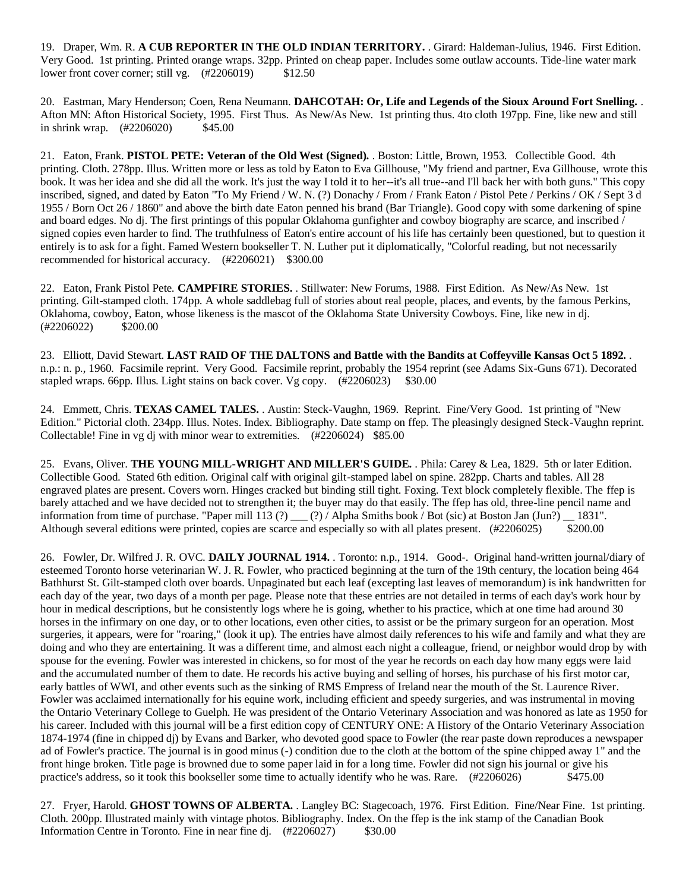19. Draper, Wm. R. **A CUB REPORTER IN THE OLD INDIAN TERRITORY.** . Girard: Haldeman-Julius, 1946. First Edition. Very Good. 1st printing. Printed orange wraps. 32pp. Printed on cheap paper. Includes some outlaw accounts. Tide-line water mark lower front cover corner; still vg.  $(\text{\#2206019})$  \$12.50

20. Eastman, Mary Henderson; Coen, Rena Neumann. **DAHCOTAH: Or, Life and Legends of the Sioux Around Fort Snelling.** . Afton MN: Afton Historical Society, 1995. First Thus. As New/As New. 1st printing thus. 4to cloth 197pp. Fine, like new and still in shrink wrap. (#2206020) \$45.00

21. Eaton, Frank. **PISTOL PETE: Veteran of the Old West (Signed).** . Boston: Little, Brown, 1953. Collectible Good. 4th printing. Cloth. 278pp. Illus. Written more or less as told by Eaton to Eva Gillhouse, "My friend and partner, Eva Gillhouse, wrote this book. It was her idea and she did all the work. It's just the way I told it to her--it's all true--and I'll back her with both guns." This copy inscribed, signed, and dated by Eaton "To My Friend / W. N. (?) Donachy / From / Frank Eaton / Pistol Pete / Perkins / OK / Sept 3 d 1955 / Born Oct 26 / 1860" and above the birth date Eaton penned his brand (Bar Triangle). Good copy with some darkening of spine and board edges. No dj. The first printings of this popular Oklahoma gunfighter and cowboy biography are scarce, and inscribed / signed copies even harder to find. The truthfulness of Eaton's entire account of his life has certainly been questioned, but to question it entirely is to ask for a fight. Famed Western bookseller T. N. Luther put it diplomatically, "Colorful reading, but not necessarily recommended for historical accuracy. (#2206021) \$300.00

22. Eaton, Frank Pistol Pete. **CAMPFIRE STORIES.** . Stillwater: New Forums, 1988. First Edition. As New/As New. 1st printing. Gilt-stamped cloth. 174pp. A whole saddlebag full of stories about real people, places, and events, by the famous Perkins, Oklahoma, cowboy, Eaton, whose likeness is the mascot of the Oklahoma State University Cowboys. Fine, like new in dj.  $(\#2206022)$  \$200.00

23. Elliott, David Stewart. **LAST RAID OF THE DALTONS and Battle with the Bandits at Coffeyville Kansas Oct 5 1892.** . n.p.: n. p., 1960. Facsimile reprint. Very Good. Facsimile reprint, probably the 1954 reprint (see Adams Six-Guns 671). Decorated stapled wraps. 66pp. Illus. Light stains on back cover. Vg copy. (#2206023) \$30.00

24. Emmett, Chris. **TEXAS CAMEL TALES.** . Austin: Steck-Vaughn, 1969. Reprint. Fine/Very Good. 1st printing of "New Edition." Pictorial cloth. 234pp. Illus. Notes. Index. Bibliography. Date stamp on ffep. The pleasingly designed Steck-Vaughn reprint. Collectable! Fine in vg dj with minor wear to extremities. (#2206024) \$85.00

25. Evans, Oliver. **THE YOUNG MILL-WRIGHT AND MILLER'S GUIDE.** . Phila: Carey & Lea, 1829. 5th or later Edition. Collectible Good. Stated 6th edition. Original calf with original gilt-stamped label on spine. 282pp. Charts and tables. All 28 engraved plates are present. Covers worn. Hinges cracked but binding still tight. Foxing. Text block completely flexible. The ffep is barely attached and we have decided not to strengthen it; the buyer may do that easily. The ffep has old, three-line pencil name and information from time of purchase. "Paper mill 113 (?) \_\_\_ (?) / Alpha Smiths book / Bot (sic) at Boston Jan (Jun?) \_\_ 1831". Although several editions were printed, copies are scarce and especially so with all plates present. (#2206025) \$200.00

26. Fowler, Dr. Wilfred J. R. OVC. **DAILY JOURNAL 1914.** . Toronto: n.p., 1914. Good-. Original hand-written journal/diary of esteemed Toronto horse veterinarian W. J. R. Fowler, who practiced beginning at the turn of the 19th century, the location being 464 Bathhurst St. Gilt-stamped cloth over boards. Unpaginated but each leaf (excepting last leaves of memorandum) is ink handwritten for each day of the year, two days of a month per page. Please note that these entries are not detailed in terms of each day's work hour by hour in medical descriptions, but he consistently logs where he is going, whether to his practice, which at one time had around 30 horses in the infirmary on one day, or to other locations, even other cities, to assist or be the primary surgeon for an operation. Most surgeries, it appears, were for "roaring," (look it up). The entries have almost daily references to his wife and family and what they are doing and who they are entertaining. It was a different time, and almost each night a colleague, friend, or neighbor would drop by with spouse for the evening. Fowler was interested in chickens, so for most of the year he records on each day how many eggs were laid and the accumulated number of them to date. He records his active buying and selling of horses, his purchase of his first motor car, early battles of WWI, and other events such as the sinking of RMS Empress of Ireland near the mouth of the St. Laurence River. Fowler was acclaimed internationally for his equine work, including efficient and speedy surgeries, and was instrumental in moving the Ontario Veterinary College to Guelph. He was president of the Ontario Veterinary Association and was honored as late as 1950 for his career. Included with this journal will be a first edition copy of CENTURY ONE: A History of the Ontario Veterinary Association 1874-1974 (fine in chipped dj) by Evans and Barker, who devoted good space to Fowler (the rear paste down reproduces a newspaper ad of Fowler's practice. The journal is in good minus (-) condition due to the cloth at the bottom of the spine chipped away 1" and the front hinge broken. Title page is browned due to some paper laid in for a long time. Fowler did not sign his journal or give his practice's address, so it took this bookseller some time to actually identify who he was. Rare. (#2206026) \$475.00

27. Fryer, Harold. **GHOST TOWNS OF ALBERTA.** . Langley BC: Stagecoach, 1976. First Edition. Fine/Near Fine. 1st printing. Cloth. 200pp. Illustrated mainly with vintage photos. Bibliography. Index. On the ffep is the ink stamp of the Canadian Book Information Centre in Toronto. Fine in near fine dj. (#2206027) \$30.00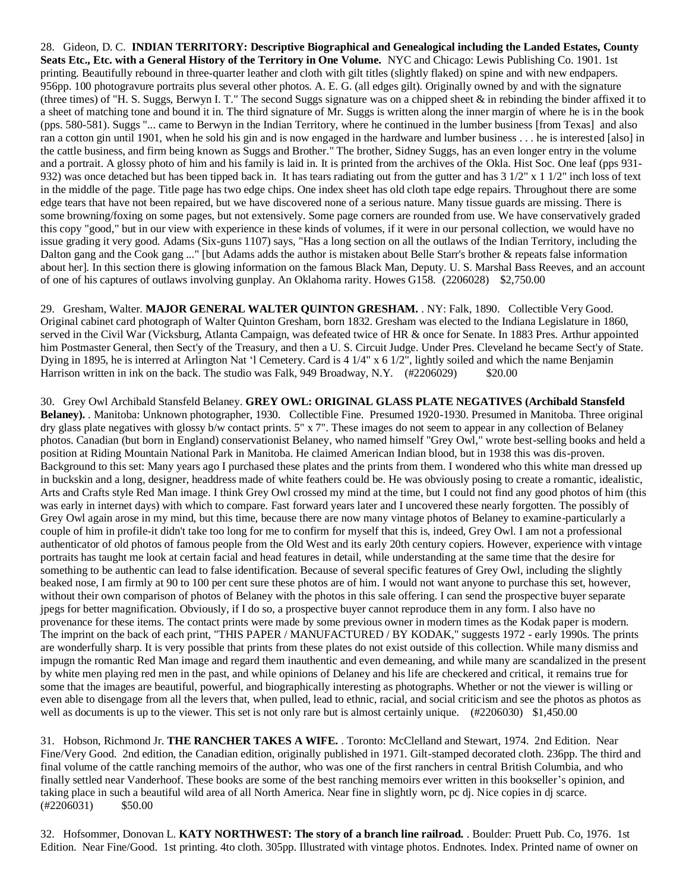28. Gideon, D. C. **INDIAN TERRITORY: Descriptive Biographical and Genealogical including the Landed Estates, County Seats Etc., Etc. with a General History of the Territory in One Volume.** NYC and Chicago: Lewis Publishing Co. 1901. 1st printing. Beautifully rebound in three-quarter leather and cloth with gilt titles (slightly flaked) on spine and with new endpapers. 956pp. 100 photogravure portraits plus several other photos. A. E. G. (all edges gilt). Originally owned by and with the signature (three times) of "H. S. Suggs, Berwyn I. T." The second Suggs signature was on a chipped sheet & in rebinding the binder affixed it to a sheet of matching tone and bound it in. The third signature of Mr. Suggs is written along the inner margin of where he is in the book (pps. 580-581). Suggs "... came to Berwyn in the Indian Territory, where he continued in the lumber business [from Texas] and also ran a cotton gin until 1901, when he sold his gin and is now engaged in the hardware and lumber business . . . he is interested [also] in the cattle business, and firm being known as Suggs and Brother." The brother, Sidney Suggs, has an even longer entry in the volume and a portrait. A glossy photo of him and his family is laid in. It is printed from the archives of the Okla. Hist Soc. One leaf (pps 931- 932) was once detached but has been tipped back in. It has tears radiating out from the gutter and has  $3 \frac{1}{2}$ " x  $1 \frac{1}{2}$ " inch loss of text in the middle of the page. Title page has two edge chips. One index sheet has old cloth tape edge repairs. Throughout there are some edge tears that have not been repaired, but we have discovered none of a serious nature. Many tissue guards are missing. There is some browning/foxing on some pages, but not extensively. Some page corners are rounded from use. We have conservatively graded this copy "good," but in our view with experience in these kinds of volumes, if it were in our personal collection, we would have no issue grading it very good. Adams (Six-guns 1107) says, "Has a long section on all the outlaws of the Indian Territory, including the Dalton gang and the Cook gang ..." [but Adams adds the author is mistaken about Belle Starr's brother & repeats false information about her]. In this section there is glowing information on the famous Black Man, Deputy. U. S. Marshal Bass Reeves, and an account of one of his captures of outlaws involving gunplay. An Oklahoma rarity. Howes G158. (2206028) \$2,750.00

29. Gresham, Walter. **MAJOR GENERAL WALTER QUINTON GRESHAM.** . NY: Falk, 1890. Collectible Very Good. Original cabinet card photograph of Walter Quinton Gresham, born 1832. Gresham was elected to the Indiana Legislature in 1860, served in the Civil War (Vicksburg, Atlanta Campaign, was defeated twice of HR & once for Senate. In 1883 Pres. Arthur appointed him Postmaster General, then Sect'y of the Treasury, and then a U. S. Circuit Judge. Under Pres. Cleveland he became Sect'y of State. Dying in 1895, he is interred at Arlington Nat 'l Cemetery. Card is 4 1/4" x 6 1/2", lightly soiled and which the name Benjamin Harrison written in ink on the back. The studio was Falk, 949 Broadway, N.Y. (#2206029) \$20.00

30. Grey Owl Archibald Stansfeld Belaney. **GREY OWL: ORIGINAL GLASS PLATE NEGATIVES (Archibald Stansfeld Belaney).** . Manitoba: Unknown photographer, 1930. Collectible Fine. Presumed 1920-1930. Presumed in Manitoba. Three original dry glass plate negatives with glossy b/w contact prints. 5" x 7". These images do not seem to appear in any collection of Belaney photos. Canadian (but born in England) conservationist Belaney, who named himself "Grey Owl," wrote best-selling books and held a position at Riding Mountain National Park in Manitoba. He claimed American Indian blood, but in 1938 this was dis-proven. Background to this set: Many years ago I purchased these plates and the prints from them. I wondered who this white man dressed up in buckskin and a long, designer, headdress made of white feathers could be. He was obviously posing to create a romantic, idealistic, Arts and Crafts style Red Man image. I think Grey Owl crossed my mind at the time, but I could not find any good photos of him (this was early in internet days) with which to compare. Fast forward years later and I uncovered these nearly forgotten. The possibly of Grey Owl again arose in my mind, but this time, because there are now many vintage photos of Belaney to examine-particularly a couple of him in profile-it didn't take too long for me to confirm for myself that this is, indeed, Grey Owl. I am not a professional authenticator of old photos of famous people from the Old West and its early 20th century copiers. However, experience with vintage portraits has taught me look at certain facial and head features in detail, while understanding at the same time that the desire for something to be authentic can lead to false identification. Because of several specific features of Grey Owl, including the slightly beaked nose, I am firmly at 90 to 100 per cent sure these photos are of him. I would not want anyone to purchase this set, however, without their own comparison of photos of Belaney with the photos in this sale offering. I can send the prospective buyer separate jpegs for better magnification. Obviously, if I do so, a prospective buyer cannot reproduce them in any form. I also have no provenance for these items. The contact prints were made by some previous owner in modern times as the Kodak paper is modern. The imprint on the back of each print, "THIS PAPER / MANUFACTURED / BY KODAK," suggests 1972 - early 1990s. The prints are wonderfully sharp. It is very possible that prints from these plates do not exist outside of this collection. While many dismiss and impugn the romantic Red Man image and regard them inauthentic and even demeaning, and while many are scandalized in the present by white men playing red men in the past, and while opinions of Delaney and his life are checkered and critical, it remains true for some that the images are beautiful, powerful, and biographically interesting as photographs. Whether or not the viewer is willing or even able to disengage from all the levers that, when pulled, lead to ethnic, racial, and social criticism and see the photos as photos as well as documents is up to the viewer. This set is not only rare but is almost certainly unique. (#2206030) \$1,450.00

31. Hobson, Richmond Jr. **THE RANCHER TAKES A WIFE.** . Toronto: McClelland and Stewart, 1974. 2nd Edition. Near Fine/Very Good. 2nd edition, the Canadian edition, originally published in 1971. Gilt-stamped decorated cloth. 236pp. The third and final volume of the cattle ranching memoirs of the author, who was one of the first ranchers in central British Columbia, and who finally settled near Vanderhoof. These books are some of the best ranching memoirs ever written in this bookseller's opinion, and taking place in such a beautiful wild area of all North America. Near fine in slightly worn, pc dj. Nice copies in dj scarce.  $(\#2206031)$  \$50.00

32. Hofsommer, Donovan L. **KATY NORTHWEST: The story of a branch line railroad.** . Boulder: Pruett Pub. Co, 1976. 1st Edition. Near Fine/Good. 1st printing. 4to cloth. 305pp. Illustrated with vintage photos. Endnotes. Index. Printed name of owner on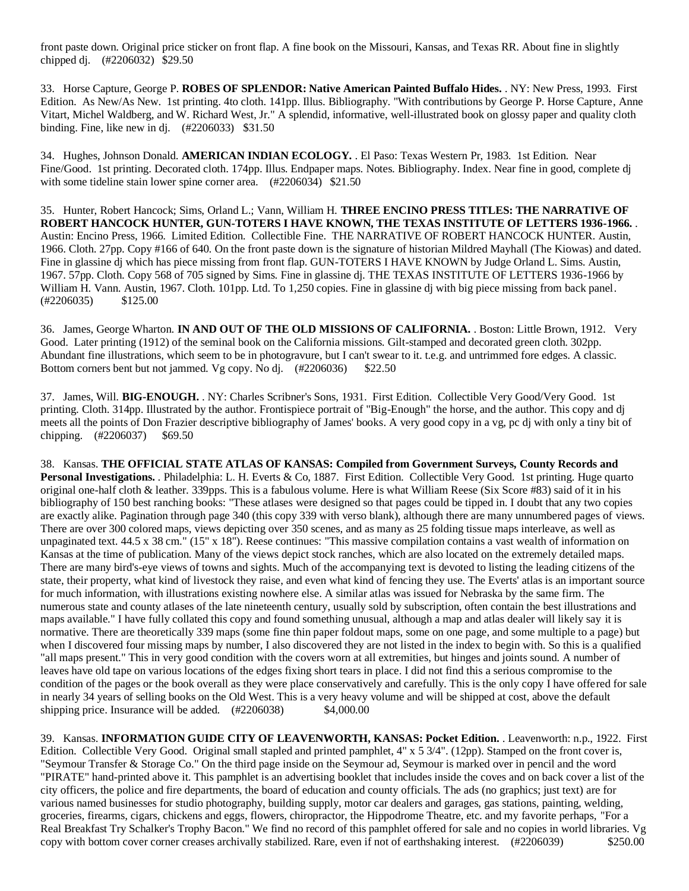front paste down. Original price sticker on front flap. A fine book on the Missouri, Kansas, and Texas RR. About fine in slightly chipped dj. (#2206032) \$29.50

33. Horse Capture, George P. **ROBES OF SPLENDOR: Native American Painted Buffalo Hides.** . NY: New Press, 1993. First Edition. As New/As New. 1st printing. 4to cloth. 141pp. Illus. Bibliography. "With contributions by George P. Horse Capture, Anne Vitart, Michel Waldberg, and W. Richard West, Jr." A splendid, informative, well-illustrated book on glossy paper and quality cloth binding. Fine, like new in dj. (#2206033) \$31.50

34. Hughes, Johnson Donald. **AMERICAN INDIAN ECOLOGY.** . El Paso: Texas Western Pr, 1983. 1st Edition. Near Fine/Good. 1st printing. Decorated cloth. 174pp. Illus. Endpaper maps. Notes. Bibliography. Index. Near fine in good, complete dj with some tideline stain lower spine corner area. (#2206034) \$21.50

35. Hunter, Robert Hancock; Sims, Orland L.; Vann, William H. **THREE ENCINO PRESS TITLES: THE NARRATIVE OF ROBERT HANCOCK HUNTER, GUN-TOTERS I HAVE KNOWN, THE TEXAS INSTITUTE OF LETTERS 1936-1966.** . Austin: Encino Press, 1966. Limited Edition. Collectible Fine. THE NARRATIVE OF ROBERT HANCOCK HUNTER. Austin, 1966. Cloth. 27pp. Copy #166 of 640. On the front paste down is the signature of historian Mildred Mayhall (The Kiowas) and dated. Fine in glassine dj which has piece missing from front flap. GUN-TOTERS I HAVE KNOWN by Judge Orland L. Sims. Austin, 1967. 57pp. Cloth. Copy 568 of 705 signed by Sims. Fine in glassine dj. THE TEXAS INSTITUTE OF LETTERS 1936-1966 by William H. Vann. Austin, 1967. Cloth. 101pp. Ltd. To 1,250 copies. Fine in glassine dj with big piece missing from back panel. (#2206035) \$125.00

36. James, George Wharton. **IN AND OUT OF THE OLD MISSIONS OF CALIFORNIA.** . Boston: Little Brown, 1912. Very Good. Later printing (1912) of the seminal book on the California missions. Gilt-stamped and decorated green cloth. 302pp. Abundant fine illustrations, which seem to be in photogravure, but I can't swear to it. t.e.g. and untrimmed fore edges. A classic. Bottom corners bent but not jammed. Vg copy. No dj. (#2206036) \$22.50

37. James, Will. **BIG-ENOUGH.** . NY: Charles Scribner's Sons, 1931. First Edition. Collectible Very Good/Very Good. 1st printing. Cloth. 314pp. Illustrated by the author. Frontispiece portrait of "Big-Enough" the horse, and the author. This copy and dj meets all the points of Don Frazier descriptive bibliography of James' books. A very good copy in a vg, pc dj with only a tiny bit of chipping. (#2206037) \$69.50

38. Kansas. **THE OFFICIAL STATE ATLAS OF KANSAS: Compiled from Government Surveys, County Records and**  Personal Investigations. . Philadelphia: L. H. Everts & Co, 1887. First Edition. Collectible Very Good. 1st printing. Huge quarto original one-half cloth & leather. 339pps. This is a fabulous volume. Here is what William Reese (Six Score #83) said of it in his bibliography of 150 best ranching books: "These atlases were designed so that pages could be tipped in. I doubt that any two copies are exactly alike. Pagination through page 340 (this copy 339 with verso blank), although there are many unnumbered pages of views. There are over 300 colored maps, views depicting over 350 scenes, and as many as 25 folding tissue maps interleave, as well as unpaginated text. 44.5 x 38 cm." (15" x 18"). Reese continues: "This massive compilation contains a vast wealth of information on Kansas at the time of publication. Many of the views depict stock ranches, which are also located on the extremely detailed maps. There are many bird's-eye views of towns and sights. Much of the accompanying text is devoted to listing the leading citizens of the state, their property, what kind of livestock they raise, and even what kind of fencing they use. The Everts' atlas is an important source for much information, with illustrations existing nowhere else. A similar atlas was issued for Nebraska by the same firm. The numerous state and county atlases of the late nineteenth century, usually sold by subscription, often contain the best illustrations and maps available." I have fully collated this copy and found something unusual, although a map and atlas dealer will likely say it is normative. There are theoretically 339 maps (some fine thin paper foldout maps, some on one page, and some multiple to a page) but when I discovered four missing maps by number, I also discovered they are not listed in the index to begin with. So this is a qualified "all maps present." This in very good condition with the covers worn at all extremities, but hinges and joints sound. A number of leaves have old tape on various locations of the edges fixing short tears in place. I did not find this a serious compromise to the condition of the pages or the book overall as they were place conservatively and carefully. This is the only copy I have offered for sale in nearly 34 years of selling books on the Old West. This is a very heavy volume and will be shipped at cost, above the default shipping price. Insurance will be added.  $(\text{\#2206038})$  \$4,000.00

39. Kansas. **INFORMATION GUIDE CITY OF LEAVENWORTH, KANSAS: Pocket Edition.** . Leavenworth: n.p., 1922. First Edition. Collectible Very Good. Original small stapled and printed pamphlet, 4" x 5 3/4". (12pp). Stamped on the front cover is, "Seymour Transfer & Storage Co." On the third page inside on the Seymour ad, Seymour is marked over in pencil and the word "PIRATE" hand-printed above it. This pamphlet is an advertising booklet that includes inside the coves and on back cover a list of the city officers, the police and fire departments, the board of education and county officials. The ads (no graphics; just text) are for various named businesses for studio photography, building supply, motor car dealers and garages, gas stations, painting, welding, groceries, firearms, cigars, chickens and eggs, flowers, chiropractor, the Hippodrome Theatre, etc. and my favorite perhaps, "For a Real Breakfast Try Schalker's Trophy Bacon." We find no record of this pamphlet offered for sale and no copies in world libraries. Vg copy with bottom cover corner creases archivally stabilized. Rare, even if not of earthshaking interest. (#2206039) \$250.00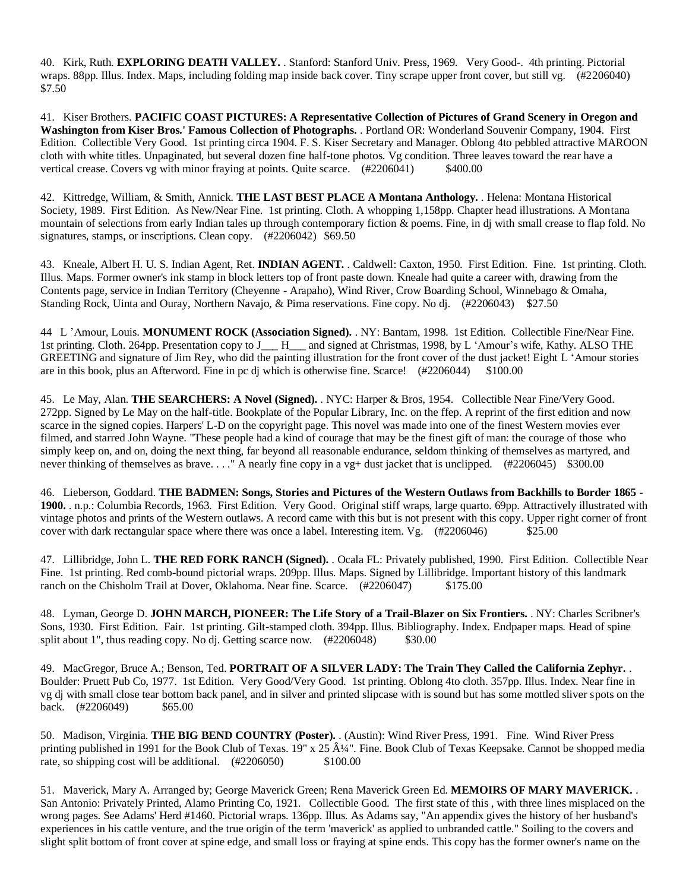40. Kirk, Ruth. **EXPLORING DEATH VALLEY.** . Stanford: Stanford Univ. Press, 1969. Very Good-. 4th printing. Pictorial wraps. 88pp. Illus. Index. Maps, including folding map inside back cover. Tiny scrape upper front cover, but still vg. (#2206040) \$7.50

41. Kiser Brothers. **PACIFIC COAST PICTURES: A Representative Collection of Pictures of Grand Scenery in Oregon and Washington from Kiser Bros.' Famous Collection of Photographs.** . Portland OR: Wonderland Souvenir Company, 1904. First Edition. Collectible Very Good. 1st printing circa 1904. F. S. Kiser Secretary and Manager. Oblong 4to pebbled attractive MAROON cloth with white titles. Unpaginated, but several dozen fine half-tone photos. Vg condition. Three leaves toward the rear have a vertical crease. Covers vg with minor fraying at points. Quite scarce. (#2206041) \$400.00

42. Kittredge, William, & Smith, Annick. **THE LAST BEST PLACE A Montana Anthology.** . Helena: Montana Historical Society, 1989. First Edition. As New/Near Fine. 1st printing. Cloth. A whopping 1,158pp. Chapter head illustrations. A Montana mountain of selections from early Indian tales up through contemporary fiction & poems. Fine, in dj with small crease to flap fold. No signatures, stamps, or inscriptions. Clean copy. (#2206042) \$69.50

43. Kneale, Albert H. U. S. Indian Agent, Ret. **INDIAN AGENT.** . Caldwell: Caxton, 1950. First Edition. Fine. 1st printing. Cloth. Illus. Maps. Former owner's ink stamp in block letters top of front paste down. Kneale had quite a career with, drawing from the Contents page, service in Indian Territory (Cheyenne - Arapaho), Wind River, Crow Boarding School, Winnebago & Omaha, Standing Rock, Uinta and Ouray, Northern Navajo, & Pima reservations. Fine copy. No dj. (#2206043) \$27.50

44 L 'Amour, Louis. **MONUMENT ROCK (Association Signed).** . NY: Bantam, 1998. 1st Edition. Collectible Fine/Near Fine. 1st printing. Cloth. 264pp. Presentation copy to J\_\_\_ H\_\_\_ and signed at Christmas, 1998, by L 'Amour's wife, Kathy. ALSO THE GREETING and signature of Jim Rey, who did the painting illustration for the front cover of the dust jacket! Eight L 'Amour stories are in this book, plus an Afterword. Fine in pc dj which is otherwise fine. Scarce! (#2206044) \$100.00

45. Le May, Alan. **THE SEARCHERS: A Novel (Signed).** . NYC: Harper & Bros, 1954. Collectible Near Fine/Very Good. 272pp. Signed by Le May on the half-title. Bookplate of the Popular Library, Inc. on the ffep. A reprint of the first edition and now scarce in the signed copies. Harpers' L-D on the copyright page. This novel was made into one of the finest Western movies ever filmed, and starred John Wayne. "These people had a kind of courage that may be the finest gift of man: the courage of those who simply keep on, and on, doing the next thing, far beyond all reasonable endurance, seldom thinking of themselves as martyred, and never thinking of themselves as brave. . . . " A nearly fine copy in a vg+ dust jacket that is unclipped. (#2206045) \$300.00

46. Lieberson, Goddard. **THE BADMEN: Songs, Stories and Pictures of the Western Outlaws from Backhills to Border 1865 - 1900.** . n.p.: Columbia Records, 1963. First Edition. Very Good. Original stiff wraps, large quarto. 69pp. Attractively illustrated with vintage photos and prints of the Western outlaws. A record came with this but is not present with this copy. Upper right corner of front cover with dark rectangular space where there was once a label. Interesting item. Vg. (#2206046) \$25.00

47. Lillibridge, John L. **THE RED FORK RANCH (Signed).** . Ocala FL: Privately published, 1990. First Edition. Collectible Near Fine. 1st printing. Red comb-bound pictorial wraps. 209pp. Illus. Maps. Signed by Lillibridge. Important history of this landmark ranch on the Chisholm Trail at Dover, Oklahoma. Near fine. Scarce. (#2206047) \$175.00

48. Lyman, George D. **JOHN MARCH, PIONEER: The Life Story of a Trail-Blazer on Six Frontiers.** . NY: Charles Scribner's Sons, 1930. First Edition. Fair. 1st printing. Gilt-stamped cloth. 394pp. Illus. Bibliography. Index. Endpaper maps. Head of spine split about 1", thus reading copy. No dj. Getting scarce now. (#2206048) \$30.00

49. MacGregor, Bruce A.; Benson, Ted. **PORTRAIT OF A SILVER LADY: The Train They Called the California Zephyr.** . Boulder: Pruett Pub Co, 1977. 1st Edition. Very Good/Very Good. 1st printing. Oblong 4to cloth. 357pp. Illus. Index. Near fine in vg dj with small close tear bottom back panel, and in silver and printed slipcase with is sound but has some mottled sliver spots on the back. (#2206049) \$65.00

50. Madison, Virginia. **THE BIG BEND COUNTRY (Poster).** . (Austin): Wind River Press, 1991. Fine. Wind River Press printing published in 1991 for the Book Club of Texas. 19" x 25  $\hat{A}^{1/4}$ ". Fine. Book Club of Texas Keepsake. Cannot be shopped media rate, so shipping cost will be additional. (#2206050) \$100.00

51. Maverick, Mary A. Arranged by; George Maverick Green; Rena Maverick Green Ed. **MEMOIRS OF MARY MAVERICK.** . San Antonio: Privately Printed, Alamo Printing Co, 1921. Collectible Good. The first state of this , with three lines misplaced on the wrong pages. See Adams' Herd #1460. Pictorial wraps. 136pp. Illus. As Adams say, "An appendix gives the history of her husband's experiences in his cattle venture, and the true origin of the term 'maverick' as applied to unbranded cattle." Soiling to the covers and slight split bottom of front cover at spine edge, and small loss or fraying at spine ends. This copy has the former owner's name on the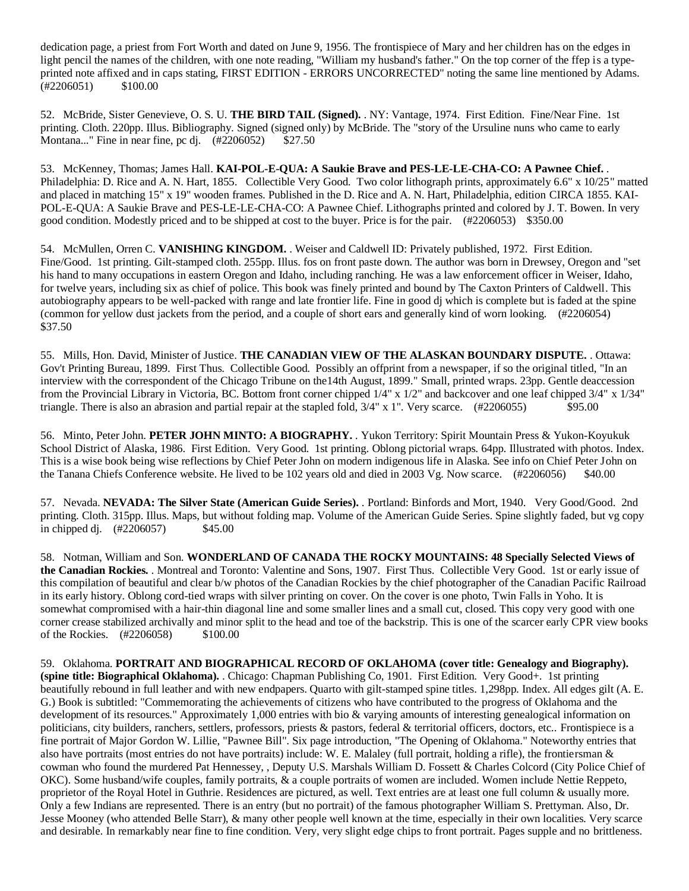dedication page, a priest from Fort Worth and dated on June 9, 1956. The frontispiece of Mary and her children has on the edges in light pencil the names of the children, with one note reading, "William my husband's father." On the top corner of the ffep is a typeprinted note affixed and in caps stating, FIRST EDITION - ERRORS UNCORRECTED" noting the same line mentioned by Adams. (#2206051) \$100.00

52. McBride, Sister Genevieve, O. S. U. **THE BIRD TAIL (Signed).** . NY: Vantage, 1974. First Edition. Fine/Near Fine. 1st printing. Cloth. 220pp. Illus. Bibliography. Signed (signed only) by McBride. The "story of the Ursuline nuns who came to early Montana..." Fine in near fine, pc dj. (#2206052) \$27.50

53. McKenney, Thomas; James Hall. **KAI-POL-E-QUA: A Saukie Brave and PES-LE-LE-CHA-CO: A Pawnee Chief.** . Philadelphia: D. Rice and A. N. Hart, 1855. Collectible Very Good. Two color lithograph prints, approximately 6.6" x 10/25" matted and placed in matching 15" x 19" wooden frames. Published in the D. Rice and A. N. Hart, Philadelphia, edition CIRCA 1855. KAI-POL-E-QUA: A Saukie Brave and PES-LE-LE-CHA-CO: A Pawnee Chief. Lithographs printed and colored by J. T. Bowen. In very good condition. Modestly priced and to be shipped at cost to the buyer. Price is for the pair. (#2206053) \$350.00

54. McMullen, Orren C. **VANISHING KINGDOM.** . Weiser and Caldwell ID: Privately published, 1972. First Edition. Fine/Good. 1st printing. Gilt-stamped cloth. 255pp. Illus. fos on front paste down. The author was born in Drewsey, Oregon and "set his hand to many occupations in eastern Oregon and Idaho, including ranching. He was a law enforcement officer in Weiser, Idaho, for twelve years, including six as chief of police. This book was finely printed and bound by The Caxton Printers of Caldwell. This autobiography appears to be well-packed with range and late frontier life. Fine in good dj which is complete but is faded at the spine (common for yellow dust jackets from the period, and a couple of short ears and generally kind of worn looking. (#2206054) \$37.50

55. Mills, Hon. David, Minister of Justice. **THE CANADIAN VIEW OF THE ALASKAN BOUNDARY DISPUTE.** . Ottawa: Gov't Printing Bureau, 1899. First Thus. Collectible Good. Possibly an offprint from a newspaper, if so the original titled, "In an interview with the correspondent of the Chicago Tribune on the14th August, 1899." Small, printed wraps. 23pp. Gentle deaccession from the Provincial Library in Victoria, BC. Bottom front corner chipped 1/4" x 1/2" and backcover and one leaf chipped 3/4" x 1/34" triangle. There is also an abrasion and partial repair at the stapled fold,  $3/4$ " x 1". Very scarce. (#2206055) \$95.00

56. Minto, Peter John. **PETER JOHN MINTO: A BIOGRAPHY.** . Yukon Territory: Spirit Mountain Press & Yukon-Koyukuk School District of Alaska, 1986. First Edition. Very Good. 1st printing. Oblong pictorial wraps. 64pp. Illustrated with photos. Index. This is a wise book being wise reflections by Chief Peter John on modern indigenous life in Alaska. See info on Chief Peter John on the Tanana Chiefs Conference website. He lived to be 102 years old and died in 2003 Vg. Now scarce. (#2206056) \$40.00

57. Nevada. **NEVADA: The Silver State (American Guide Series).** . Portland: Binfords and Mort, 1940. Very Good/Good. 2nd printing. Cloth. 315pp. Illus. Maps, but without folding map. Volume of the American Guide Series. Spine slightly faded, but vg copy in chipped dj. (#2206057) \$45.00

58. Notman, William and Son. **WONDERLAND OF CANADA THE ROCKY MOUNTAINS: 48 Specially Selected Views of the Canadian Rockies.** . Montreal and Toronto: Valentine and Sons, 1907. First Thus. Collectible Very Good. 1st or early issue of this compilation of beautiful and clear b/w photos of the Canadian Rockies by the chief photographer of the Canadian Pacific Railroad in its early history. Oblong cord-tied wraps with silver printing on cover. On the cover is one photo, Twin Falls in Yoho. It is somewhat compromised with a hair-thin diagonal line and some smaller lines and a small cut, closed. This copy very good with one corner crease stabilized archivally and minor split to the head and toe of the backstrip. This is one of the scarcer early CPR view books of the Rockies. (#2206058) \$100.00

59. Oklahoma. **PORTRAIT AND BIOGRAPHICAL RECORD OF OKLAHOMA (cover title: Genealogy and Biography). (spine title: Biographical Oklahoma).** . Chicago: Chapman Publishing Co, 1901. First Edition. Very Good+. 1st printing beautifully rebound in full leather and with new endpapers. Quarto with gilt-stamped spine titles. 1,298pp. Index. All edges gilt (A. E. G.) Book is subtitled: "Commemorating the achievements of citizens who have contributed to the progress of Oklahoma and the development of its resources." Approximately 1,000 entries with bio & varying amounts of interesting genealogical information on politicians, city builders, ranchers, settlers, professors, priests & pastors, federal & territorial officers, doctors, etc.. Frontispiece is a fine portrait of Major Gordon W. Lillie, "Pawnee Bill". Six page introduction, "The Opening of Oklahoma." Noteworthy entries that also have portraits (most entries do not have portraits) include: W. E. Malaley (full portrait, holding a rifle), the frontiersman & cowman who found the murdered Pat Hennessey, , Deputy U.S. Marshals William D. Fossett & Charles Colcord (City Police Chief of OKC). Some husband/wife couples, family portraits, & a couple portraits of women are included. Women include Nettie Reppeto, proprietor of the Royal Hotel in Guthrie. Residences are pictured, as well. Text entries are at least one full column & usually more. Only a few Indians are represented. There is an entry (but no portrait) of the famous photographer William S. Prettyman. Also, Dr. Jesse Mooney (who attended Belle Starr), & many other people well known at the time, especially in their own localities. Very scarce and desirable. In remarkably near fine to fine condition. Very, very slight edge chips to front portrait. Pages supple and no brittleness.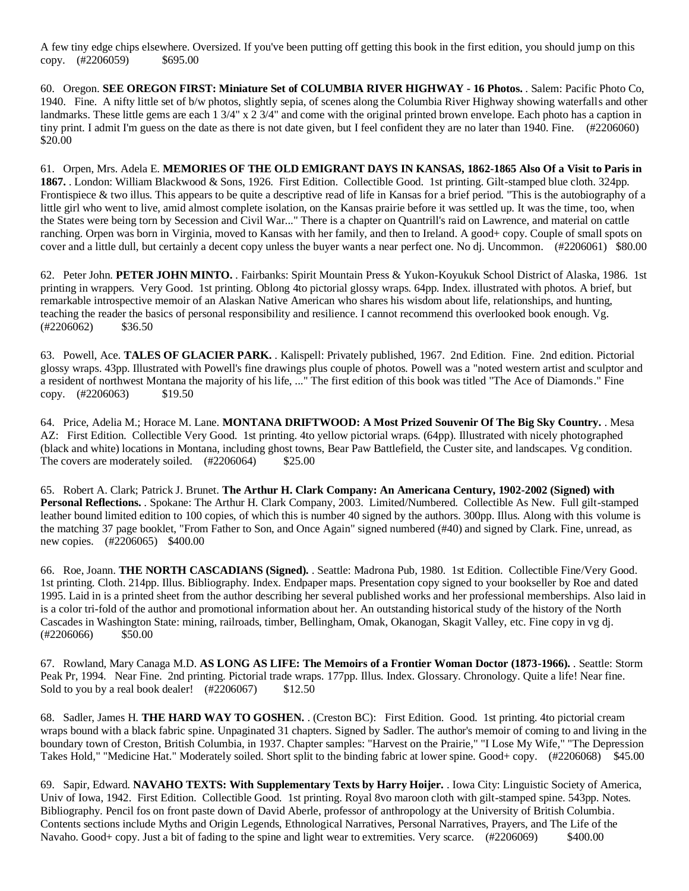A few tiny edge chips elsewhere. Oversized. If you've been putting off getting this book in the first edition, you should jump on this copy. (#2206059) \$695.00

60. Oregon. **SEE OREGON FIRST: Miniature Set of COLUMBIA RIVER HIGHWAY - 16 Photos.** . Salem: Pacific Photo Co, 1940. Fine. A nifty little set of b/w photos, slightly sepia, of scenes along the Columbia River Highway showing waterfalls and other landmarks. These little gems are each 1 3/4" x 2 3/4" and come with the original printed brown envelope. Each photo has a caption in tiny print. I admit I'm guess on the date as there is not date given, but I feel confident they are no later than 1940. Fine. (#2206060) \$20.00

61. Orpen, Mrs. Adela E. **MEMORIES OF THE OLD EMIGRANT DAYS IN KANSAS, 1862-1865 Also Of a Visit to Paris in 1867.** . London: William Blackwood & Sons, 1926. First Edition. Collectible Good. 1st printing. Gilt-stamped blue cloth. 324pp. Frontispiece & two illus. This appears to be quite a descriptive read of life in Kansas for a brief period. "This is the autobiography of a little girl who went to live, amid almost complete isolation, on the Kansas prairie before it was settled up. It was the time, too, when the States were being torn by Secession and Civil War..." There is a chapter on Quantrill's raid on Lawrence, and material on cattle ranching. Orpen was born in Virginia, moved to Kansas with her family, and then to Ireland. A good+ copy. Couple of small spots on cover and a little dull, but certainly a decent copy unless the buyer wants a near perfect one. No dj. Uncommon. (#2206061) \$80.00

62. Peter John. **PETER JOHN MINTO.** . Fairbanks: Spirit Mountain Press & Yukon-Koyukuk School District of Alaska, 1986. 1st printing in wrappers. Very Good. 1st printing. Oblong 4to pictorial glossy wraps. 64pp. Index. illustrated with photos. A brief, but remarkable introspective memoir of an Alaskan Native American who shares his wisdom about life, relationships, and hunting, teaching the reader the basics of personal responsibility and resilience. I cannot recommend this overlooked book enough. Vg.  $(\#2206062)$  \$36.50

63. Powell, Ace. **TALES OF GLACIER PARK.** . Kalispell: Privately published, 1967. 2nd Edition. Fine. 2nd edition. Pictorial glossy wraps. 43pp. Illustrated with Powell's fine drawings plus couple of photos. Powell was a "noted western artist and sculptor and a resident of northwest Montana the majority of his life, ..." The first edition of this book was titled "The Ace of Diamonds." Fine copy. (#2206063) \$19.50

64. Price, Adelia M.; Horace M. Lane. **MONTANA DRIFTWOOD: A Most Prized Souvenir Of The Big Sky Country.** . Mesa AZ: First Edition. Collectible Very Good. 1st printing. 4to yellow pictorial wraps. (64pp). Illustrated with nicely photographed (black and white) locations in Montana, including ghost towns, Bear Paw Battlefield, the Custer site, and landscapes. Vg condition. The covers are moderately soiled. (#2206064) \$25.00

65. Robert A. Clark; Patrick J. Brunet. **The Arthur H. Clark Company: An Americana Century, 1902-2002 (Signed) with Personal Reflections.** . Spokane: The Arthur H. Clark Company, 2003. Limited/Numbered. Collectible As New. Full gilt-stamped leather bound limited edition to 100 copies, of which this is number 40 signed by the authors. 300pp. Illus. Along with this volume is the matching 37 page booklet, "From Father to Son, and Once Again" signed numbered (#40) and signed by Clark. Fine, unread, as new copies. (#2206065) \$400.00

66. Roe, Joann. **THE NORTH CASCADIANS (Signed).** . Seattle: Madrona Pub, 1980. 1st Edition. Collectible Fine/Very Good. 1st printing. Cloth. 214pp. Illus. Bibliography. Index. Endpaper maps. Presentation copy signed to your bookseller by Roe and dated 1995. Laid in is a printed sheet from the author describing her several published works and her professional memberships. Also laid in is a color tri-fold of the author and promotional information about her. An outstanding historical study of the history of the North Cascades in Washington State: mining, railroads, timber, Bellingham, Omak, Okanogan, Skagit Valley, etc. Fine copy in vg dj.  $(*2206066)$  \$50.00

67. Rowland, Mary Canaga M.D. **AS LONG AS LIFE: The Memoirs of a Frontier Woman Doctor (1873-1966).** . Seattle: Storm Peak Pr, 1994. Near Fine. 2nd printing. Pictorial trade wraps. 177pp. Illus. Index. Glossary. Chronology. Quite a life! Near fine. Sold to you by a real book dealer!  $(\text{\#2206067})$  \$12.50

68. Sadler, James H. **THE HARD WAY TO GOSHEN.** . (Creston BC): First Edition. Good. 1st printing. 4to pictorial cream wraps bound with a black fabric spine. Unpaginated 31 chapters. Signed by Sadler. The author's memoir of coming to and living in the boundary town of Creston, British Columbia, in 1937. Chapter samples: "Harvest on the Prairie," "I Lose My Wife," "The Depression Takes Hold," "Medicine Hat." Moderately soiled. Short split to the binding fabric at lower spine. Good+ copy. (#2206068) \$45.00

69. Sapir, Edward. **NAVAHO TEXTS: With Supplementary Texts by Harry Hoijer.** . Iowa City: Linguistic Society of America, Univ of Iowa, 1942. First Edition. Collectible Good. 1st printing. Royal 8vo maroon cloth with gilt-stamped spine. 543pp. Notes. Bibliography. Pencil fos on front paste down of David Aberle, professor of anthropology at the University of British Columbia. Contents sections include Myths and Origin Legends, Ethnological Narratives, Personal Narratives, Prayers, and The Life of the Navaho. Good+ copy. Just a bit of fading to the spine and light wear to extremities. Very scarce. (#2206069) \$400.00